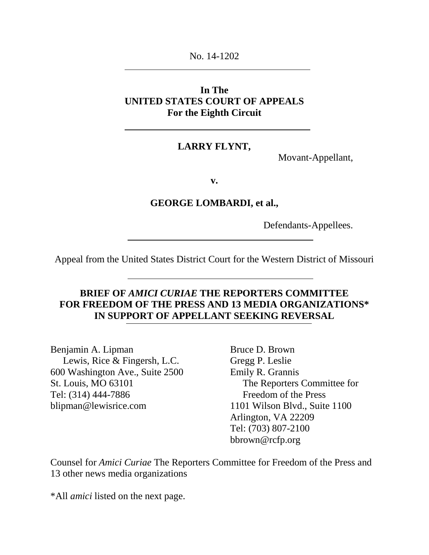No. 14-1202

# **In The UNITED STATES COURT OF APPEALS For the Eighth Circuit**

## **LARRY FLYNT,**

Movant-Appellant,

**v.**

## **GEORGE LOMBARDI, et al.,**

Defendants-Appellees.

Appeal from the United States District Court for the Western District of Missouri

# **BRIEF OF** *AMICI CURIAE* **THE REPORTERS COMMITTEE FOR FREEDOM OF THE PRESS AND 13 MEDIA ORGANIZATIONS\* IN SUPPORT OF APPELLANT SEEKING REVERSAL**

Benjamin A. Lipman Lewis, Rice & Fingersh, L.C. 600 Washington Ave., Suite 2500 St. Louis, MO 63101 Tel: (314) 444-7886 blipman@lewisrice.com

Bruce D. Brown Gregg P. Leslie Emily R. Grannis The Reporters Committee for Freedom of the Press 1101 Wilson Blvd., Suite 1100 Arlington, VA 22209 Tel: (703) 807-2100 bbrown@rcfp.org

Counsel for *Amici Curiae* The Reporters Committee for Freedom of the Press and 13 other news media organizations

\*All *amici* listed on the next page.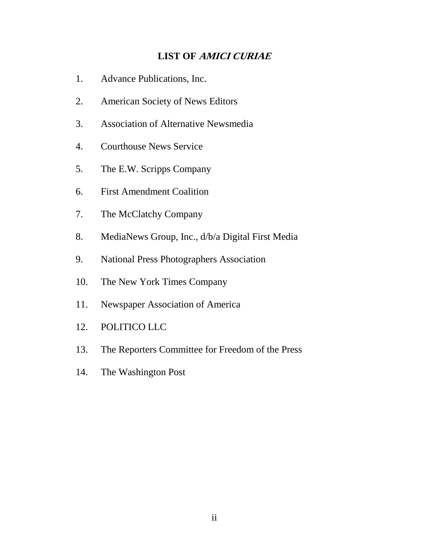# **LIST OF AMICI CURIAE**

- <span id="page-1-0"></span>1. Advance Publications, Inc.
- 2. American Society of News Editors
- 3. Association of Alternative Newsmedia
- 4. Courthouse News Service
- 5. The E.W. Scripps Company
- 6. First Amendment Coalition
- 7. The McClatchy Company
- 8. MediaNews Group, Inc., d/b/a Digital First Media
- 9. National Press Photographers Association
- 10. The New York Times Company
- 11. Newspaper Association of America
- 12. POLITICO LLC
- 13. The Reporters Committee for Freedom of the Press
- 14. The Washington Post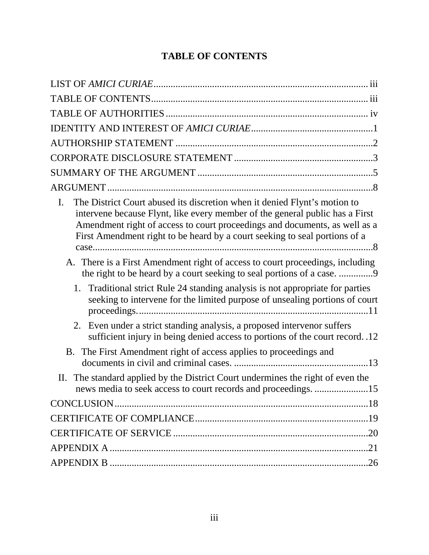# **TABLE OF CONTENTS**

<span id="page-2-0"></span>

| The District Court abused its discretion when it denied Flynt's motion to<br>I.<br>intervene because Flynt, like every member of the general public has a First<br>Amendment right of access to court proceedings and documents, as well as a<br>First Amendment right to be heard by a court seeking to seal portions of a |
|-----------------------------------------------------------------------------------------------------------------------------------------------------------------------------------------------------------------------------------------------------------------------------------------------------------------------------|
| A. There is a First Amendment right of access to court proceedings, including<br>the right to be heard by a court seeking to seal portions of a case. 9                                                                                                                                                                     |
| 1. Traditional strict Rule 24 standing analysis is not appropriate for parties<br>seeking to intervene for the limited purpose of unsealing portions of court                                                                                                                                                               |
| Even under a strict standing analysis, a proposed intervenor suffers<br>2.<br>sufficient injury in being denied access to portions of the court record. .12                                                                                                                                                                 |
| B. The First Amendment right of access applies to proceedings and                                                                                                                                                                                                                                                           |
| The standard applied by the District Court undermines the right of even the<br>П.<br>news media to seek access to court records and proceedings. 15                                                                                                                                                                         |
|                                                                                                                                                                                                                                                                                                                             |
|                                                                                                                                                                                                                                                                                                                             |
|                                                                                                                                                                                                                                                                                                                             |
|                                                                                                                                                                                                                                                                                                                             |
|                                                                                                                                                                                                                                                                                                                             |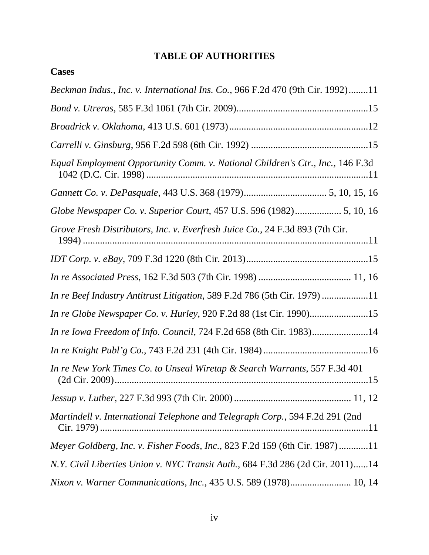# **TABLE OF AUTHORITIES**

<span id="page-3-0"></span>**Cases**

| Beckman Indus., Inc. v. International Ins. Co., 966 F.2d 470 (9th Cir. 1992)11 |
|--------------------------------------------------------------------------------|
|                                                                                |
|                                                                                |
|                                                                                |
| Equal Employment Opportunity Comm. v. National Children's Ctr., Inc., 146 F.3d |
|                                                                                |
|                                                                                |
| Grove Fresh Distributors, Inc. v. Everfresh Juice Co., 24 F.3d 893 (7th Cir.   |
|                                                                                |
|                                                                                |
| In re Beef Industry Antitrust Litigation, 589 F.2d 786 (5th Cir. 1979) 11      |
| In re Globe Newspaper Co. v. Hurley, 920 F.2d 88 (1st Cir. 1990)15             |
| In re Iowa Freedom of Info. Council, 724 F.2d 658 (8th Cir. 1983)14            |
|                                                                                |
| In re New York Times Co. to Unseal Wiretap & Search Warrants, 557 F.3d 401     |
|                                                                                |
| Martindell v. International Telephone and Telegraph Corp., 594 F.2d 291 (2nd   |
| Meyer Goldberg, Inc. v. Fisher Foods, Inc., 823 F.2d 159 (6th Cir. 1987)11     |
| N.Y. Civil Liberties Union v. NYC Transit Auth., 684 F.3d 286 (2d Cir. 2011)14 |
| Nixon v. Warner Communications, Inc., 435 U.S. 589 (1978) 10, 14               |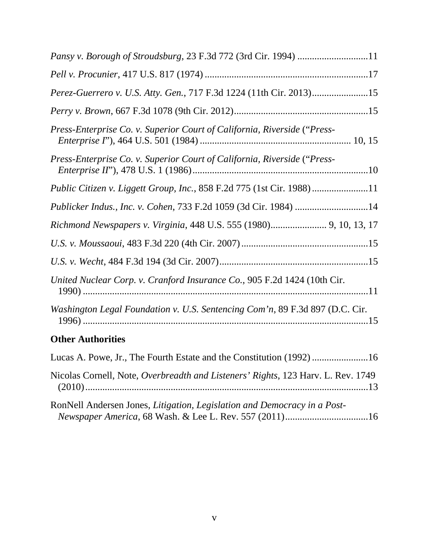| Perez-Guerrero v. U.S. Atty. Gen., 717 F.3d 1224 (11th Cir. 2013)15          |
|------------------------------------------------------------------------------|
|                                                                              |
| Press-Enterprise Co. v. Superior Court of California, Riverside ("Press-     |
| Press-Enterprise Co. v. Superior Court of California, Riverside ("Press-     |
| Public Citizen v. Liggett Group, Inc., 858 F.2d 775 (1st Cir. 1988)11        |
| Publicker Indus., Inc. v. Cohen, 733 F.2d 1059 (3d Cir. 1984) 14             |
| Richmond Newspapers v. Virginia, 448 U.S. 555 (1980) 9, 10, 13, 17           |
|                                                                              |
|                                                                              |
| United Nuclear Corp. v. Cranford Insurance Co., 905 F.2d 1424 (10th Cir.     |
| Washington Legal Foundation v. U.S. Sentencing Com'n, 89 F.3d 897 (D.C. Cir. |
| <b>Other Authorities</b>                                                     |

| Nicolas Cornell, Note, Overbreadth and Listeners' Rights, 123 Harv. L. Rev. 1749 |
|----------------------------------------------------------------------------------|
| RonNell Andersen Jones, Litigation, Legislation and Democracy in a Post-         |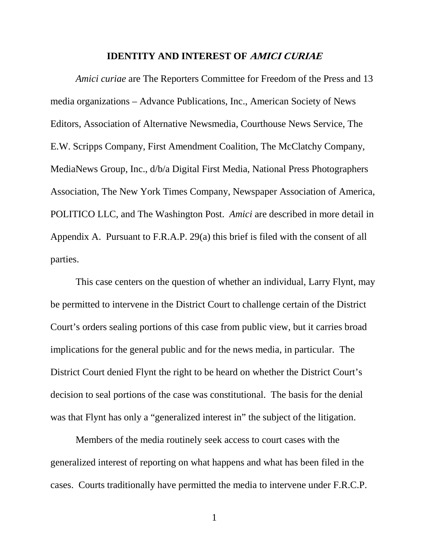#### **IDENTITY AND INTEREST OF AMICI CURIAE**

<span id="page-5-0"></span>*Amici curiae* are The Reporters Committee for Freedom of the Press and 13 media organizations – Advance Publications, Inc., American Society of News Editors, Association of Alternative Newsmedia, Courthouse News Service, The E.W. Scripps Company, First Amendment Coalition, The McClatchy Company, MediaNews Group, Inc., d/b/a Digital First Media, National Press Photographers Association, The New York Times Company, Newspaper Association of America, POLITICO LLC, and The Washington Post. *Amici* are described in more detail in Appendix A. Pursuant to F.R.A.P. 29(a) this brief is filed with the consent of all parties.

This case centers on the question of whether an individual, Larry Flynt, may be permitted to intervene in the District Court to challenge certain of the District Court's orders sealing portions of this case from public view, but it carries broad implications for the general public and for the news media, in particular. The District Court denied Flynt the right to be heard on whether the District Court's decision to seal portions of the case was constitutional. The basis for the denial was that Flynt has only a "generalized interest in" the subject of the litigation.

Members of the media routinely seek access to court cases with the generalized interest of reporting on what happens and what has been filed in the cases. Courts traditionally have permitted the media to intervene under F.R.C.P.

1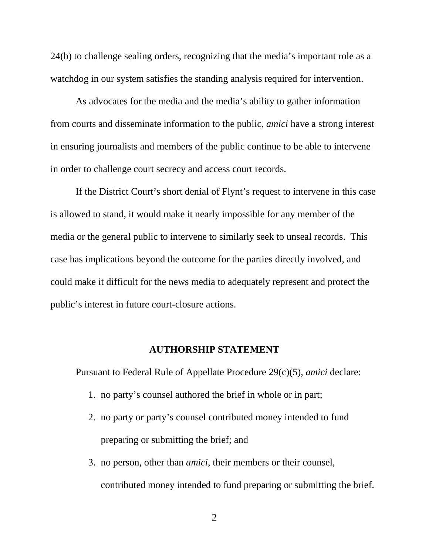24(b) to challenge sealing orders, recognizing that the media's important role as a watchdog in our system satisfies the standing analysis required for intervention.

As advocates for the media and the media's ability to gather information from courts and disseminate information to the public, *amici* have a strong interest in ensuring journalists and members of the public continue to be able to intervene in order to challenge court secrecy and access court records.

If the District Court's short denial of Flynt's request to intervene in this case is allowed to stand, it would make it nearly impossible for any member of the media or the general public to intervene to similarly seek to unseal records. This case has implications beyond the outcome for the parties directly involved, and could make it difficult for the news media to adequately represent and protect the public's interest in future court-closure actions.

### **AUTHORSHIP STATEMENT**

<span id="page-6-0"></span>Pursuant to Federal Rule of Appellate Procedure 29(c)(5), *amici* declare:

- 1. no party's counsel authored the brief in whole or in part;
- 2. no party or party's counsel contributed money intended to fund preparing or submitting the brief; and
- 3. no person, other than *amici*, their members or their counsel, contributed money intended to fund preparing or submitting the brief.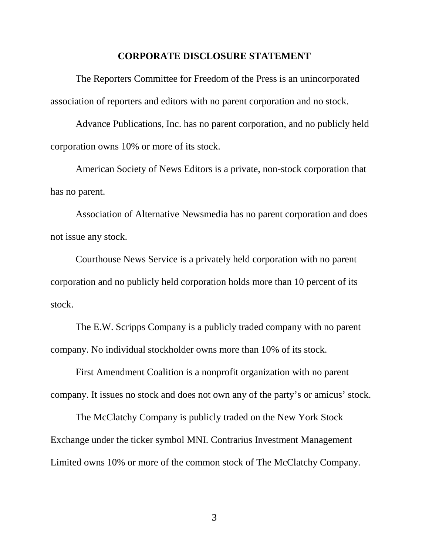#### **CORPORATE DISCLOSURE STATEMENT**

<span id="page-7-0"></span>The Reporters Committee for Freedom of the Press is an unincorporated association of reporters and editors with no parent corporation and no stock.

Advance Publications, Inc. has no parent corporation, and no publicly held corporation owns 10% or more of its stock.

American Society of News Editors is a private, non-stock corporation that has no parent.

Association of Alternative Newsmedia has no parent corporation and does not issue any stock.

Courthouse News Service is a privately held corporation with no parent corporation and no publicly held corporation holds more than 10 percent of its stock.

The E.W. Scripps Company is a publicly traded company with no parent company. No individual stockholder owns more than 10% of its stock.

First Amendment Coalition is a nonprofit organization with no parent company. It issues no stock and does not own any of the party's or amicus' stock.

The McClatchy Company is publicly traded on the New York Stock Exchange under the ticker symbol MNI. Contrarius Investment Management Limited owns 10% or more of the common stock of The McClatchy Company.

3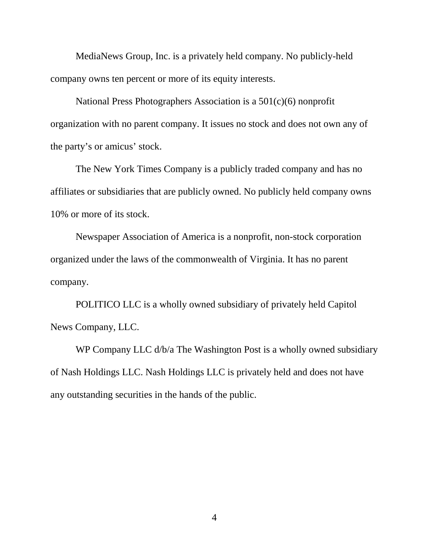MediaNews Group, Inc. is a privately held company. No publicly-held company owns ten percent or more of its equity interests.

National Press Photographers Association is a 501(c)(6) nonprofit organization with no parent company. It issues no stock and does not own any of the party's or amicus' stock.

The New York Times Company is a publicly traded company and has no affiliates or subsidiaries that are publicly owned. No publicly held company owns 10% or more of its stock.

Newspaper Association of America is a nonprofit, non-stock corporation organized under the laws of the commonwealth of Virginia. It has no parent company.

POLITICO LLC is a wholly owned subsidiary of privately held Capitol News Company, LLC.

WP Company LLC  $d/b/a$  The Washington Post is a wholly owned subsidiary of Nash Holdings LLC. Nash Holdings LLC is privately held and does not have any outstanding securities in the hands of the public.

4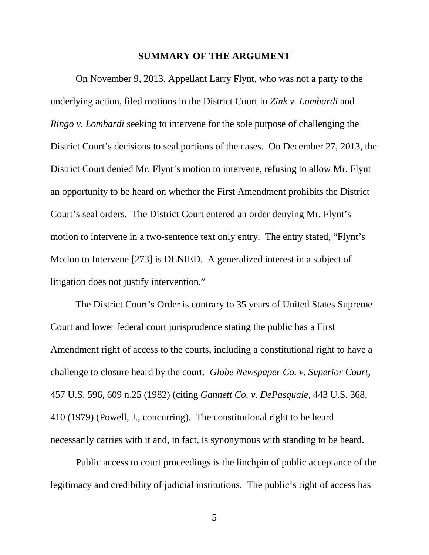#### **SUMMARY OF THE ARGUMENT**

<span id="page-9-0"></span>On November 9, 2013, Appellant Larry Flynt, who was not a party to the underlying action, filed motions in the District Court in *Zink v. Lombardi* and *Ringo v. Lombardi* seeking to intervene for the sole purpose of challenging the District Court's decisions to seal portions of the cases. On December 27, 2013, the District Court denied Mr. Flynt's motion to intervene, refusing to allow Mr. Flynt an opportunity to be heard on whether the First Amendment prohibits the District Court's seal orders. The District Court entered an order denying Mr. Flynt's motion to intervene in a two-sentence text only entry. The entry stated, "Flynt's Motion to Intervene [273] is DENIED. A generalized interest in a subject of litigation does not justify intervention."

The District Court's Order is contrary to 35 years of United States Supreme Court and lower federal court jurisprudence stating the public has a First Amendment right of access to the courts, including a constitutional right to have a challenge to closure heard by the court. *Globe Newspaper Co. v. Superior Court*, 457 U.S. 596, 609 n.25 (1982) (citing *Gannett Co. v. DePasquale*, 443 U.S. 368, 410 (1979) (Powell, J., concurring). The constitutional right to be heard necessarily carries with it and, in fact, is synonymous with standing to be heard.

Public access to court proceedings is the linchpin of public acceptance of the legitimacy and credibility of judicial institutions. The public's right of access has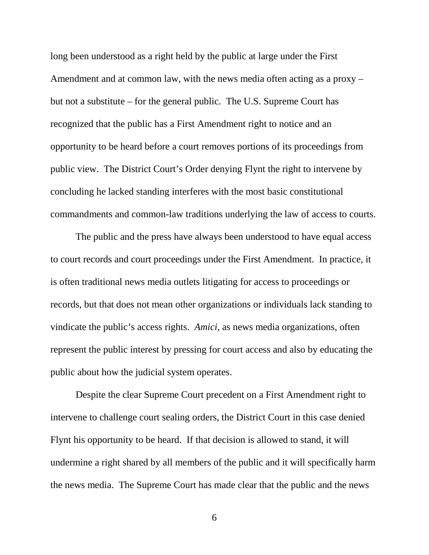long been understood as a right held by the public at large under the First Amendment and at common law, with the news media often acting as a proxy – but not a substitute – for the general public. The U.S. Supreme Court has recognized that the public has a First Amendment right to notice and an opportunity to be heard before a court removes portions of its proceedings from public view. The District Court's Order denying Flynt the right to intervene by concluding he lacked standing interferes with the most basic constitutional commandments and common-law traditions underlying the law of access to courts.

The public and the press have always been understood to have equal access to court records and court proceedings under the First Amendment. In practice, it is often traditional news media outlets litigating for access to proceedings or records, but that does not mean other organizations or individuals lack standing to vindicate the public's access rights. *Amici*, as news media organizations, often represent the public interest by pressing for court access and also by educating the public about how the judicial system operates.

Despite the clear Supreme Court precedent on a First Amendment right to intervene to challenge court sealing orders, the District Court in this case denied Flynt his opportunity to be heard. If that decision is allowed to stand, it will undermine a right shared by all members of the public and it will specifically harm the news media. The Supreme Court has made clear that the public and the news

6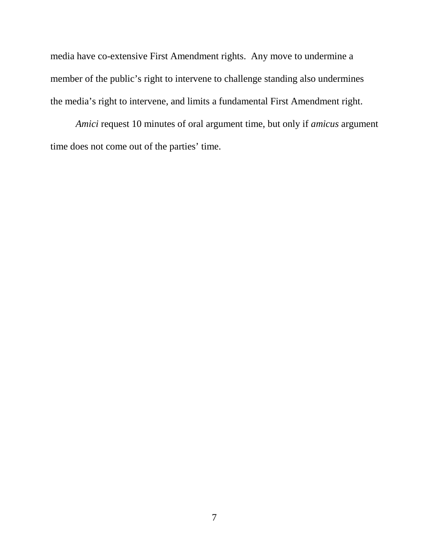media have co-extensive First Amendment rights. Any move to undermine a member of the public's right to intervene to challenge standing also undermines the media's right to intervene, and limits a fundamental First Amendment right.

*Amici* request 10 minutes of oral argument time, but only if *amicus* argument time does not come out of the parties' time.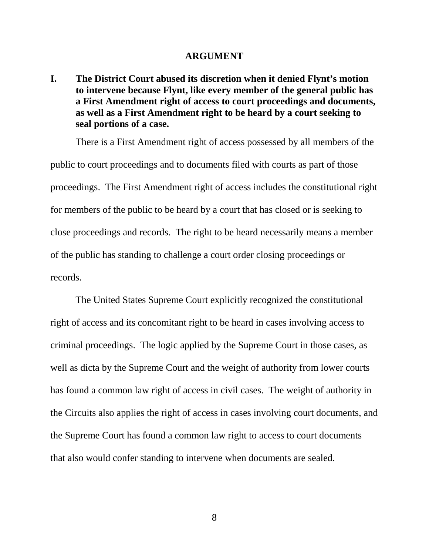#### **ARGUMENT**

<span id="page-12-1"></span><span id="page-12-0"></span>**I. The District Court abused its discretion when it denied Flynt's motion to intervene because Flynt, like every member of the general public has a First Amendment right of access to court proceedings and documents, as well as a First Amendment right to be heard by a court seeking to seal portions of a case.**

There is a First Amendment right of access possessed by all members of the public to court proceedings and to documents filed with courts as part of those proceedings. The First Amendment right of access includes the constitutional right for members of the public to be heard by a court that has closed or is seeking to close proceedings and records. The right to be heard necessarily means a member of the public has standing to challenge a court order closing proceedings or records.

The United States Supreme Court explicitly recognized the constitutional right of access and its concomitant right to be heard in cases involving access to criminal proceedings. The logic applied by the Supreme Court in those cases, as well as dicta by the Supreme Court and the weight of authority from lower courts has found a common law right of access in civil cases. The weight of authority in the Circuits also applies the right of access in cases involving court documents, and the Supreme Court has found a common law right to access to court documents that also would confer standing to intervene when documents are sealed.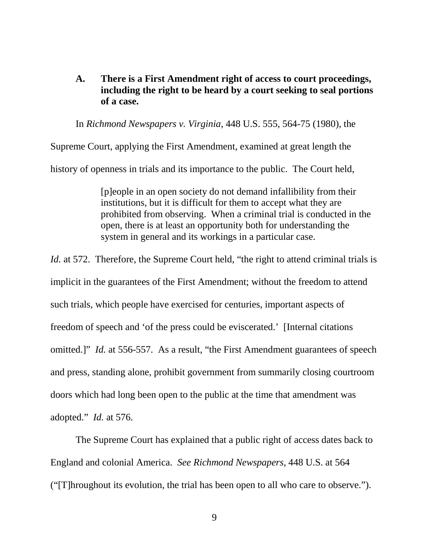<span id="page-13-0"></span>**A. There is a First Amendment right of access to court proceedings, including the right to be heard by a court seeking to seal portions of a case.**

In *Richmond Newspapers v. Virginia*, 448 U.S. 555, 564-75 (1980), the

Supreme Court, applying the First Amendment, examined at great length the history of openness in trials and its importance to the public. The Court held,

> [p]eople in an open society do not demand infallibility from their institutions, but it is difficult for them to accept what they are prohibited from observing. When a criminal trial is conducted in the open, there is at least an opportunity both for understanding the system in general and its workings in a particular case.

*Id.* at 572. Therefore, the Supreme Court held, "the right to attend criminal trials is implicit in the guarantees of the First Amendment; without the freedom to attend such trials, which people have exercised for centuries, important aspects of freedom of speech and 'of the press could be eviscerated.' [Internal citations omitted.]" *Id.* at 556-557. As a result, "the First Amendment guarantees of speech and press, standing alone, prohibit government from summarily closing courtroom doors which had long been open to the public at the time that amendment was adopted." *Id.* at 576.

The Supreme Court has explained that a public right of access dates back to England and colonial America. *See Richmond Newspapers*, 448 U.S. at 564 ("[T]hroughout its evolution, the trial has been open to all who care to observe.").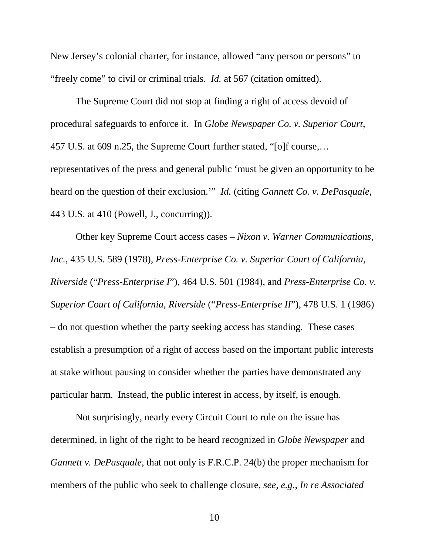New Jersey's colonial charter, for instance, allowed "any person or persons" to "freely come" to civil or criminal trials. *Id.* at 567 (citation omitted).

The Supreme Court did not stop at finding a right of access devoid of procedural safeguards to enforce it. In *Globe Newspaper Co. v. Superior Court*, 457 U.S. at 609 n.25, the Supreme Court further stated, "[o]f course,… representatives of the press and general public 'must be given an opportunity to be heard on the question of their exclusion.'" *Id.* (citing *Gannett Co. v. DePasquale*, 443 U.S. at 410 (Powell, J., concurring)).

Other key Supreme Court access cases – *Nixon v. Warner Communications, Inc.*, 435 U.S. 589 (1978), *Press-Enterprise Co. v. Superior Court of California, Riverside* ("*Press-Enterprise I*"), 464 U.S. 501 (1984), and *Press-Enterprise Co. v. Superior Court of California, Riverside* ("*Press-Enterprise II*"), 478 U.S. 1 (1986) – do not question whether the party seeking access has standing. These cases establish a presumption of a right of access based on the important public interests at stake without pausing to consider whether the parties have demonstrated any particular harm. Instead, the public interest in access, by itself, is enough.

Not surprisingly, nearly every Circuit Court to rule on the issue has determined, in light of the right to be heard recognized in *Globe Newspaper* and *Gannett v. DePasquale*, that not only is F.R.C.P. 24(b) the proper mechanism for members of the public who seek to challenge closure, *see, e.g., In re Associated*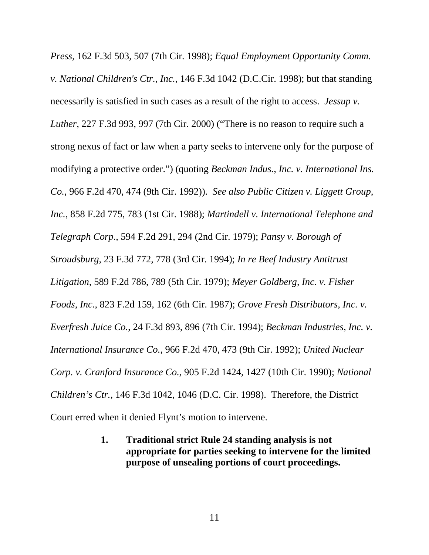*Press*, 162 F.3d 503, 507 (7th Cir. 1998); *Equal Employment Opportunity Comm. v. National Children's Ctr., Inc.*, 146 F.3d 1042 (D.C.Cir. 1998); but that standing necessarily is satisfied in such cases as a result of the right to access. *Jessup v. Luther*, 227 F.3d 993, 997 (7th Cir. 2000) ("There is no reason to require such a strong nexus of fact or law when a party seeks to intervene only for the purpose of modifying a protective order.") (quoting *Beckman Indus., Inc. v. International Ins. Co.*, 966 F.2d 470, 474 (9th Cir. 1992)). *See also Public Citizen v. Liggett Group, Inc.*, 858 F.2d 775, 783 (1st Cir. 1988); *Martindell v. International Telephone and Telegraph Corp.*, 594 F.2d 291, 294 (2nd Cir. 1979); *Pansy v. Borough of Stroudsburg*, 23 F.3d 772, 778 (3rd Cir. 1994); *In re Beef Industry Antitrust Litigation*, 589 F.2d 786, 789 (5th Cir. 1979); *Meyer Goldberg, Inc. v. Fisher Foods, Inc.*, 823 F.2d 159, 162 (6th Cir. 1987); *Grove Fresh Distributors, Inc. v. Everfresh Juice Co.*, 24 F.3d 893, 896 (7th Cir. 1994); *Beckman Industries, Inc. v. International Insurance Co.*, 966 F.2d 470, 473 (9th Cir. 1992); *United Nuclear Corp. v. Cranford Insurance Co.*, 905 F.2d 1424, 1427 (10th Cir. 1990); *National Children's Ctr.*, 146 F.3d 1042, 1046 (D.C. Cir. 1998). Therefore, the District Court erred when it denied Flynt's motion to intervene.

> <span id="page-15-0"></span>**1. Traditional strict Rule 24 standing analysis is not appropriate for parties seeking to intervene for the limited purpose of unsealing portions of court proceedings.**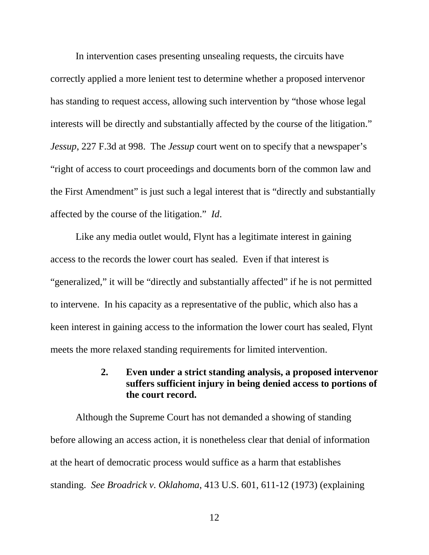In intervention cases presenting unsealing requests, the circuits have correctly applied a more lenient test to determine whether a proposed intervenor has standing to request access, allowing such intervention by "those whose legal interests will be directly and substantially affected by the course of the litigation." *Jessup*, 227 F.3d at 998. The *Jessup* court went on to specify that a newspaper's "right of access to court proceedings and documents born of the common law and the First Amendment" is just such a legal interest that is "directly and substantially affected by the course of the litigation." *Id*.

Like any media outlet would, Flynt has a legitimate interest in gaining access to the records the lower court has sealed. Even if that interest is "generalized," it will be "directly and substantially affected" if he is not permitted to intervene. In his capacity as a representative of the public, which also has a keen interest in gaining access to the information the lower court has sealed, Flynt meets the more relaxed standing requirements for limited intervention.

## **2. Even under a strict standing analysis, a proposed intervenor suffers sufficient injury in being denied access to portions of the court record.**

<span id="page-16-0"></span>Although the Supreme Court has not demanded a showing of standing before allowing an access action, it is nonetheless clear that denial of information at the heart of democratic process would suffice as a harm that establishes standing. *See Broadrick v. Oklahoma*, 413 U.S. 601, 611-12 (1973) (explaining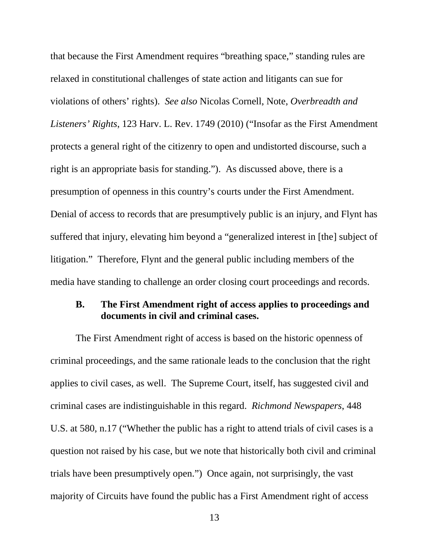that because the First Amendment requires "breathing space," standing rules are relaxed in constitutional challenges of state action and litigants can sue for violations of others' rights). *See also* Nicolas Cornell, Note, *Overbreadth and Listeners' Rights*, 123 Harv. L. Rev. 1749 (2010) ("Insofar as the First Amendment protects a general right of the citizenry to open and undistorted discourse, such a right is an appropriate basis for standing."). As discussed above, there is a presumption of openness in this country's courts under the First Amendment. Denial of access to records that are presumptively public is an injury, and Flynt has suffered that injury, elevating him beyond a "generalized interest in [the] subject of litigation." Therefore, Flynt and the general public including members of the media have standing to challenge an order closing court proceedings and records.

## <span id="page-17-0"></span>**B. The First Amendment right of access applies to proceedings and documents in civil and criminal cases.**

The First Amendment right of access is based on the historic openness of criminal proceedings, and the same rationale leads to the conclusion that the right applies to civil cases, as well. The Supreme Court, itself, has suggested civil and criminal cases are indistinguishable in this regard. *Richmond Newspapers*, 448 U.S. at 580, n.17 ("Whether the public has a right to attend trials of civil cases is a question not raised by his case, but we note that historically both civil and criminal trials have been presumptively open.") Once again, not surprisingly, the vast majority of Circuits have found the public has a First Amendment right of access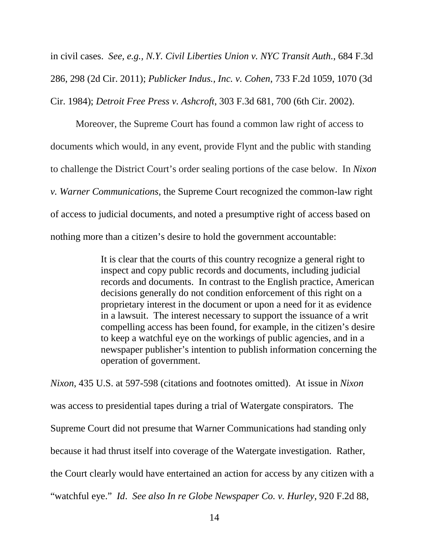in civil cases. *See, e.g., N.Y. Civil Liberties Union v. NYC Transit Auth.*, 684 F.3d 286, 298 (2d Cir. 2011); *Publicker Indus., Inc. v. Cohen*, 733 F.2d 1059, 1070 (3d Cir. 1984); *Detroit Free Press v. Ashcroft*, 303 F.3d 681, 700 (6th Cir. 2002).

Moreover, the Supreme Court has found a common law right of access to documents which would, in any event, provide Flynt and the public with standing to challenge the District Court's order sealing portions of the case below. In *Nixon v. Warner Communications*, the Supreme Court recognized the common-law right of access to judicial documents, and noted a presumptive right of access based on nothing more than a citizen's desire to hold the government accountable:

> It is clear that the courts of this country recognize a general right to inspect and copy public records and documents, including judicial records and documents. In contrast to the English practice, American decisions generally do not condition enforcement of this right on a proprietary interest in the document or upon a need for it as evidence in a lawsuit. The interest necessary to support the issuance of a writ compelling access has been found, for example, in the citizen's desire to keep a watchful eye on the workings of public agencies, and in a newspaper publisher's intention to publish information concerning the operation of government.

*Nixon*, 435 U.S. at 597-598 (citations and footnotes omitted). At issue in *Nixon* was access to presidential tapes during a trial of Watergate conspirators. The Supreme Court did not presume that Warner Communications had standing only because it had thrust itself into coverage of the Watergate investigation. Rather, the Court clearly would have entertained an action for access by any citizen with a "watchful eye." *Id*. *See also In re Globe Newspaper Co. v. Hurley*, 920 F.2d 88,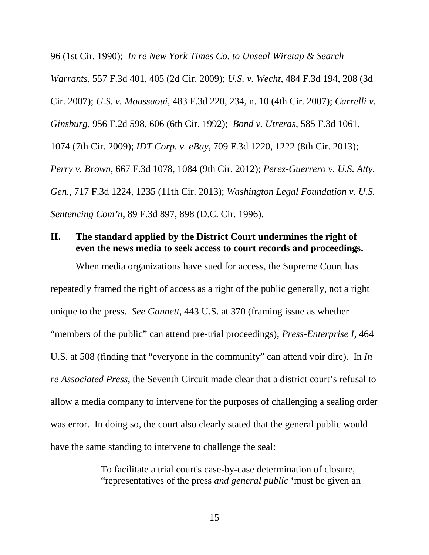96 (1st Cir. 1990); *In re New York Times Co. to Unseal Wiretap & Search Warrants*, 557 F.3d 401, 405 (2d Cir. 2009); *U.S. v. Wecht*, 484 F.3d 194, 208 (3d Cir. 2007); *U.S. v. Moussaoui*, 483 F.3d 220, 234, n. 10 (4th Cir. 2007); *Carrelli v. Ginsburg*, 956 F.2d 598, 606 (6th Cir. 1992); *Bond v. Utreras*, 585 F.3d 1061, 1074 (7th Cir. 2009); *IDT Corp. v. eBay*, 709 F.3d 1220, 1222 (8th Cir. 2013); *Perry v. Brown*, 667 F.3d 1078, 1084 (9th Cir. 2012); *Perez-Guerrero v. U.S. Atty. Gen.*, 717 F.3d 1224, 1235 (11th Cir. 2013); *Washington Legal Foundation v. U.S. Sentencing Com'n*, 89 F.3d 897, 898 (D.C. Cir. 1996).

## <span id="page-19-0"></span>**II. The standard applied by the District Court undermines the right of even the news media to seek access to court records and proceedings.**

When media organizations have sued for access, the Supreme Court has repeatedly framed the right of access as a right of the public generally, not a right unique to the press. *See Gannett*, 443 U.S. at 370 (framing issue as whether "members of the public" can attend pre-trial proceedings); *Press-Enterprise I*, 464 U.S. at 508 (finding that "everyone in the community" can attend voir dire). In *In re Associated Press*, the Seventh Circuit made clear that a district court's refusal to allow a media company to intervene for the purposes of challenging a sealing order was error. In doing so, the court also clearly stated that the general public would have the same standing to intervene to challenge the seal:

> To facilitate a trial court's case-by-case determination of closure, "representatives of the press *and general public* 'must be given an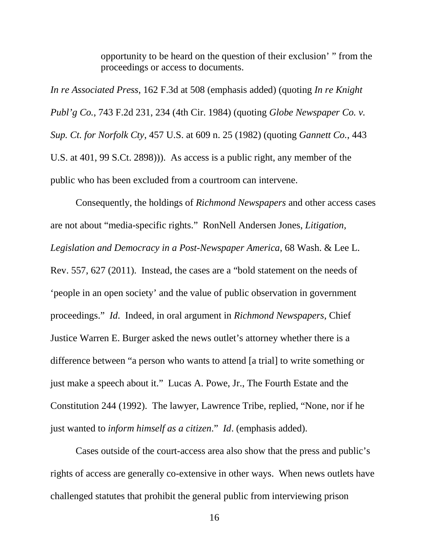opportunity to be heard on the question of their exclusion' " from the proceedings or access to documents.

*In re Associated Press*, 162 F.3d at 508 (emphasis added) (quoting *In re Knight Publ'g Co.*, 743 F.2d 231, 234 (4th Cir. 1984) (quoting *Globe Newspaper Co. v. Sup. Ct. for Norfolk Cty*, 457 U.S. at 609 n. 25 (1982) (quoting *Gannett Co.*, 443 U.S. at 401, 99 S.Ct. 2898))). As access is a public right, any member of the public who has been excluded from a courtroom can intervene.

Consequently, the holdings of *Richmond Newspapers* and other access cases are not about "media-specific rights." RonNell Andersen Jones, *Litigation, Legislation and Democracy in a Post-Newspaper America*, 68 Wash. & Lee L. Rev. 557, 627 (2011). Instead, the cases are a "bold statement on the needs of 'people in an open society' and the value of public observation in government proceedings." *Id*. Indeed, in oral argument in *Richmond Newspapers*, Chief Justice Warren E. Burger asked the news outlet's attorney whether there is a difference between "a person who wants to attend [a trial] to write something or just make a speech about it." Lucas A. Powe, Jr., The Fourth Estate and the Constitution 244 (1992). The lawyer, Lawrence Tribe, replied, "None, nor if he just wanted to *inform himself as a citizen*." *Id*. (emphasis added).

Cases outside of the court-access area also show that the press and public's rights of access are generally co-extensive in other ways. When news outlets have challenged statutes that prohibit the general public from interviewing prison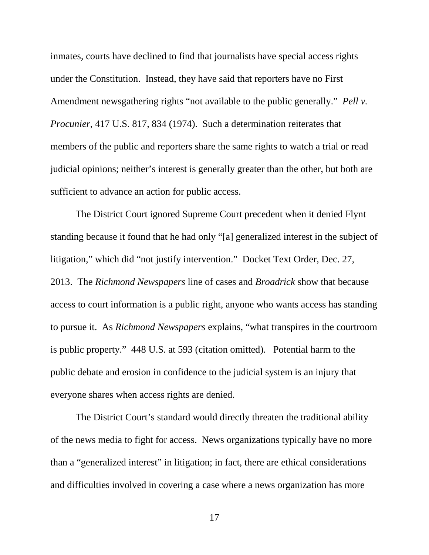inmates, courts have declined to find that journalists have special access rights under the Constitution. Instead, they have said that reporters have no First Amendment newsgathering rights "not available to the public generally." *Pell v. Procunier*, 417 U.S. 817, 834 (1974). Such a determination reiterates that members of the public and reporters share the same rights to watch a trial or read judicial opinions; neither's interest is generally greater than the other, but both are sufficient to advance an action for public access.

The District Court ignored Supreme Court precedent when it denied Flynt standing because it found that he had only "[a] generalized interest in the subject of litigation," which did "not justify intervention." Docket Text Order, Dec. 27, 2013. The *Richmond Newspapers* line of cases and *Broadrick* show that because access to court information is a public right, anyone who wants access has standing to pursue it. As *Richmond Newspapers* explains, "what transpires in the courtroom is public property." 448 U.S. at 593 (citation omitted). Potential harm to the public debate and erosion in confidence to the judicial system is an injury that everyone shares when access rights are denied.

The District Court's standard would directly threaten the traditional ability of the news media to fight for access. News organizations typically have no more than a "generalized interest" in litigation; in fact, there are ethical considerations and difficulties involved in covering a case where a news organization has more

17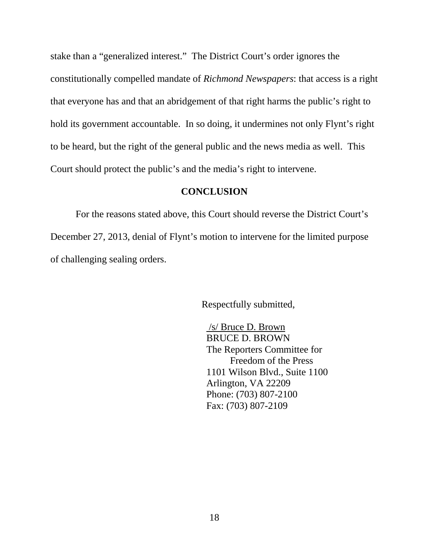stake than a "generalized interest." The District Court's order ignores the constitutionally compelled mandate of *Richmond Newspapers*: that access is a right that everyone has and that an abridgement of that right harms the public's right to hold its government accountable. In so doing, it undermines not only Flynt's right to be heard, but the right of the general public and the news media as well. This Court should protect the public's and the media's right to intervene.

## **CONCLUSION**

<span id="page-22-0"></span>For the reasons stated above, this Court should reverse the District Court's December 27, 2013, denial of Flynt's motion to intervene for the limited purpose of challenging sealing orders.

Respectfully submitted,

/s/ Bruce D. Brown BRUCE D. BROWN The Reporters Committee for Freedom of the Press 1101 Wilson Blvd., Suite 1100 Arlington, VA 22209 Phone: (703) 807-2100 Fax: (703) 807-2109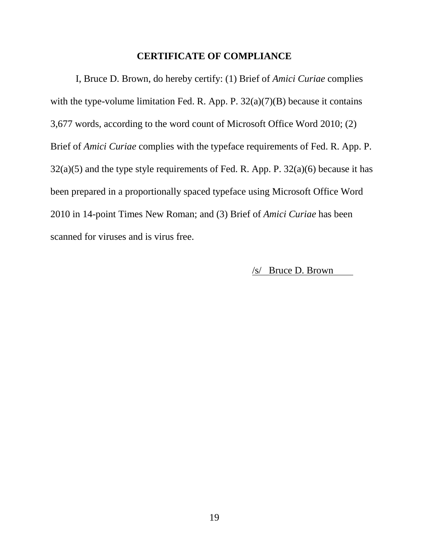### **CERTIFICATE OF COMPLIANCE**

<span id="page-23-0"></span>I, Bruce D. Brown, do hereby certify: (1) Brief of *Amici Curiae* complies with the type-volume limitation Fed. R. App. P.  $32(a)(7)(B)$  because it contains 3,677 words, according to the word count of Microsoft Office Word 2010; (2) Brief of *Amici Curiae* complies with the typeface requirements of Fed. R. App. P.  $32(a)(5)$  and the type style requirements of Fed. R. App. P.  $32(a)(6)$  because it has been prepared in a proportionally spaced typeface using Microsoft Office Word 2010 in 14-point Times New Roman; and (3) Brief of *Amici Curiae* has been scanned for viruses and is virus free.

/s/ Bruce D. Brown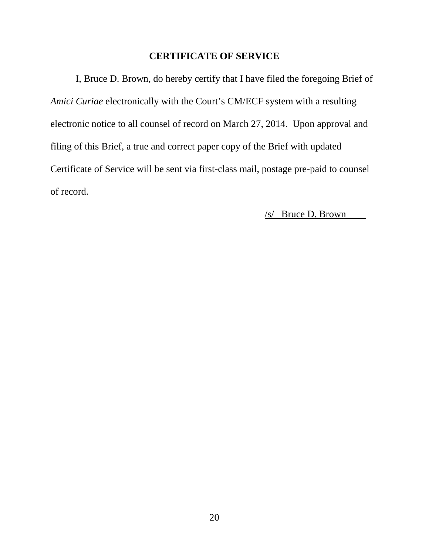## **CERTIFICATE OF SERVICE**

<span id="page-24-0"></span>I, Bruce D. Brown, do hereby certify that I have filed the foregoing Brief of *Amici Curiae* electronically with the Court's CM/ECF system with a resulting electronic notice to all counsel of record on March 27, 2014. Upon approval and filing of this Brief, a true and correct paper copy of the Brief with updated Certificate of Service will be sent via first-class mail, postage pre-paid to counsel of record.

/s/ Bruce D. Brown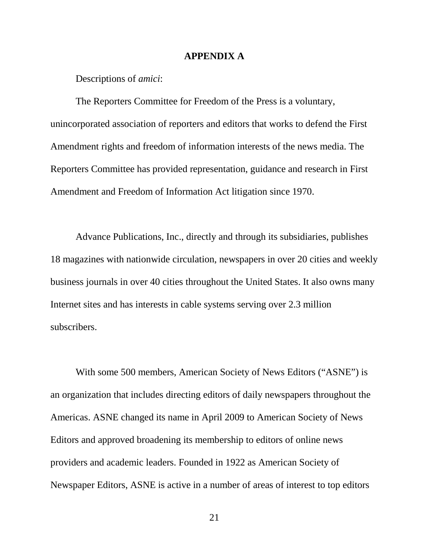#### **APPENDIX A**

<span id="page-25-0"></span>Descriptions of *amici*:

The Reporters Committee for Freedom of the Press is a voluntary, unincorporated association of reporters and editors that works to defend the First Amendment rights and freedom of information interests of the news media. The Reporters Committee has provided representation, guidance and research in First Amendment and Freedom of Information Act litigation since 1970.

Advance Publications, Inc., directly and through its subsidiaries, publishes 18 magazines with nationwide circulation, newspapers in over 20 cities and weekly business journals in over 40 cities throughout the United States. It also owns many Internet sites and has interests in cable systems serving over 2.3 million subscribers.

With some 500 members, American Society of News Editors ("ASNE") is an organization that includes directing editors of daily newspapers throughout the Americas. ASNE changed its name in April 2009 to American Society of News Editors and approved broadening its membership to editors of online news providers and academic leaders. Founded in 1922 as American Society of Newspaper Editors, ASNE is active in a number of areas of interest to top editors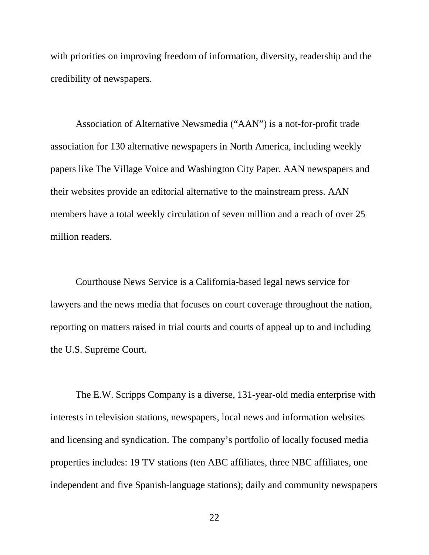with priorities on improving freedom of information, diversity, readership and the credibility of newspapers.

Association of Alternative Newsmedia ("AAN") is a not-for-profit trade association for 130 alternative newspapers in North America, including weekly papers like The Village Voice and Washington City Paper. AAN newspapers and their websites provide an editorial alternative to the mainstream press. AAN members have a total weekly circulation of seven million and a reach of over 25 million readers.

Courthouse News Service is a California-based legal news service for lawyers and the news media that focuses on court coverage throughout the nation, reporting on matters raised in trial courts and courts of appeal up to and including the U.S. Supreme Court.

The E.W. Scripps Company is a diverse, 131-year-old media enterprise with interests in television stations, newspapers, local news and information websites and licensing and syndication. The company's portfolio of locally focused media properties includes: 19 TV stations (ten ABC affiliates, three NBC affiliates, one independent and five Spanish-language stations); daily and community newspapers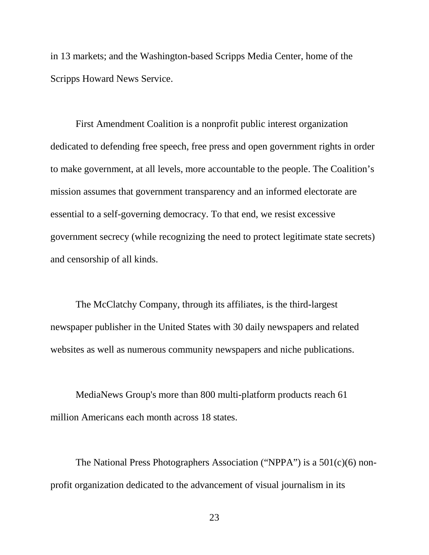in 13 markets; and the Washington-based Scripps Media Center, home of the Scripps Howard News Service.

First Amendment Coalition is a nonprofit public interest organization dedicated to defending free speech, free press and open government rights in order to make government, at all levels, more accountable to the people. The Coalition's mission assumes that government transparency and an informed electorate are essential to a self-governing democracy. To that end, we resist excessive government secrecy (while recognizing the need to protect legitimate state secrets) and censorship of all kinds.

The McClatchy Company, through its affiliates, is the third-largest newspaper publisher in the United States with 30 daily newspapers and related websites as well as numerous community newspapers and niche publications.

MediaNews Group's more than 800 multi-platform products reach 61 million Americans each month across 18 states.

The National Press Photographers Association ("NPPA") is a 501(c)(6) nonprofit organization dedicated to the advancement of visual journalism in its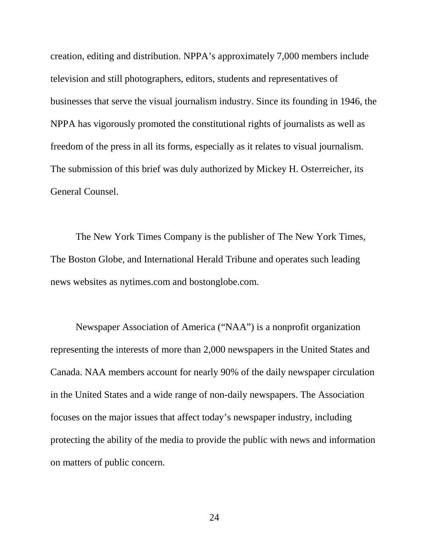creation, editing and distribution. NPPA's approximately 7,000 members include television and still photographers, editors, students and representatives of businesses that serve the visual journalism industry. Since its founding in 1946, the NPPA has vigorously promoted the constitutional rights of journalists as well as freedom of the press in all its forms, especially as it relates to visual journalism. The submission of this brief was duly authorized by Mickey H. Osterreicher, its General Counsel.

The New York Times Company is the publisher of The New York Times, The Boston Globe, and International Herald Tribune and operates such leading news websites as nytimes.com and bostonglobe.com.

Newspaper Association of America ("NAA") is a nonprofit organization representing the interests of more than 2,000 newspapers in the United States and Canada. NAA members account for nearly 90% of the daily newspaper circulation in the United States and a wide range of non-daily newspapers. The Association focuses on the major issues that affect today's newspaper industry, including protecting the ability of the media to provide the public with news and information on matters of public concern.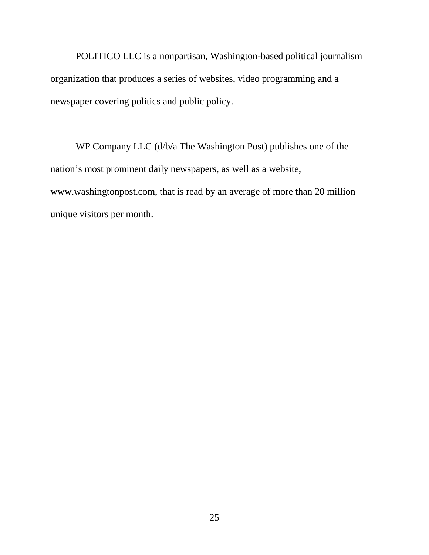POLITICO LLC is a nonpartisan, Washington-based political journalism organization that produces a series of websites, video programming and a newspaper covering politics and public policy.

WP Company LLC (d/b/a The Washington Post) publishes one of the nation's most prominent daily newspapers, as well as a website, www.washingtonpost.com, that is read by an average of more than 20 million unique visitors per month.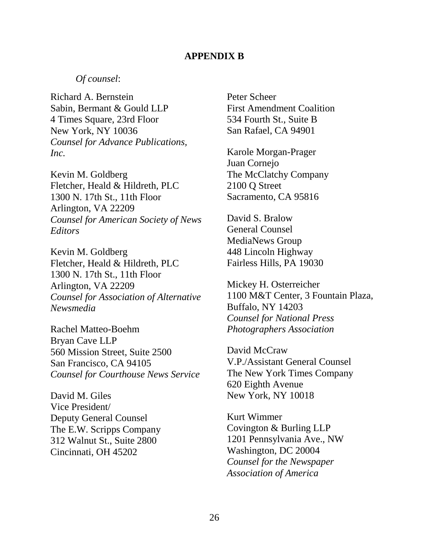#### **APPENDIX B**

### <span id="page-30-0"></span>*Of counsel*:

Richard A. Bernstein Sabin, Bermant & Gould LLP 4 Times Square, 23rd Floor New York, NY 10036 *Counsel for Advance Publications, Inc.*

Kevin M. Goldberg Fletcher, Heald & Hildreth, PLC 1300 N. 17th St., 11th Floor Arlington, VA 22209 *Counsel for American Society of News Editors*

Kevin M. Goldberg Fletcher, Heald & Hildreth, PLC 1300 N. 17th St., 11th Floor Arlington, VA 22209 *Counsel for Association of Alternative Newsmedia*

Rachel Matteo-Boehm Bryan Cave LLP 560 Mission Street, Suite 2500 San Francisco, CA 94105 *Counsel for Courthouse News Service*

David M. Giles Vice President/ Deputy General Counsel The E.W. Scripps Company 312 Walnut St., Suite 2800 Cincinnati, OH 45202

Peter Scheer First Amendment Coalition 534 Fourth St., Suite B San Rafael, CA 94901

Karole Morgan-Prager Juan Cornejo The McClatchy Company 2100 Q Street Sacramento, CA 95816

David S. Bralow General Counsel MediaNews Group 448 Lincoln Highway Fairless Hills, PA 19030

Mickey H. Osterreicher 1100 M&T Center, 3 Fountain Plaza, Buffalo, NY 14203 *Counsel for National Press Photographers Association*

David McCraw V.P./Assistant General Counsel The New York Times Company 620 Eighth Avenue New York, NY 10018

Kurt Wimmer Covington & Burling LLP 1201 Pennsylvania Ave., NW Washington, DC 20004 *Counsel for the Newspaper Association of America*